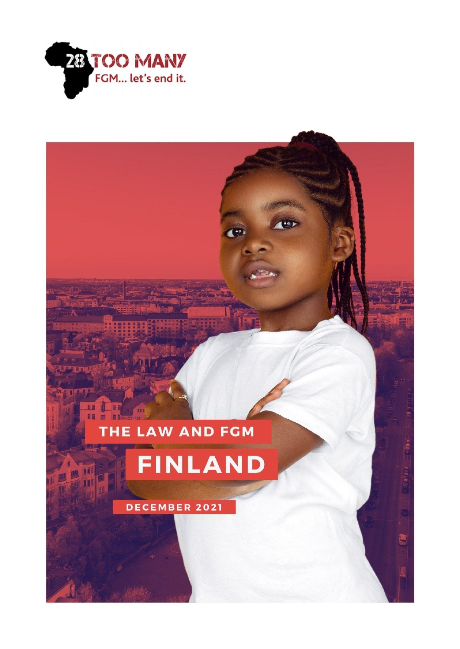

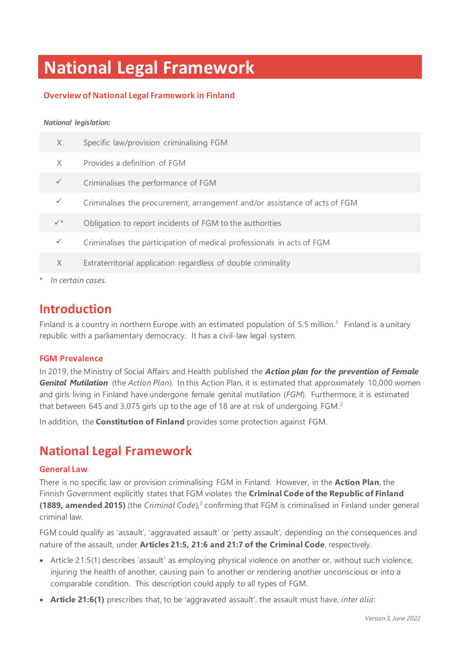# **National Legal Framework**

### **Overview of National Legal Framework in Finland**

#### *National legislation:*

| X                 | Specific law/provision criminalising FGM                                   |
|-------------------|----------------------------------------------------------------------------|
| $\times$          | Provides a definition of FGM                                               |
| $\checkmark$      | Criminalises the performance of FGM                                        |
| $\checkmark$      | Criminalises the procurement, arrangement and/or assistance of acts of FGM |
| $\checkmark$      | Obligation to report incidents of FGM to the authorities                   |
| $\checkmark$      | Criminalises the participation of medical professionals in acts of FGM     |
| $\times$          | Extraterritorial application regardless of double criminality              |
| In certain cases. |                                                                            |

## **Introduction**

Finland is a country in northern Europe with an estimated population of 5.5 million.<sup>1</sup> Finland is a unitary republic with a parliamentary democracy. It has a civil-law legal system.

### **FGM Prevalence**

In 2019, the Ministry of Social Affairs and Health published the *Action plan for the prevention of Female Genital Mutilation* (the *Action Plan*). In this Action Plan, it is estimated that approximately 10,000 women and girls living in Finland have undergone female genital mutilation (*FGM*). Furthermore, it is estimated that between 645 and 3,075 girls up to the age of 18 are at risk of undergoing FGM.<sup>2</sup>

In addition, the **Constitution of Finland** provides some protection against FGM.

## **National Legal Framework**

### **General Law**

There is no specific law or provision criminalising FGM in Finland. However, in the **Action Plan**, the Finnish Government explicitly states that FGM violates the **Criminal Code of the Republic of Finland (1889, amended 2015)** (the *Criminal Code*),<sup>3</sup> confirming that FGM is criminalised in Finland under general criminal law.

FGM could qualify as 'assault', 'aggravated assault' or 'petty assault', depending on the consequences and nature of the assault, under **Articles 21:5, 21:6 and 21:7 of the Criminal Code**, respectively.

- Article 21:5(1) describes 'assault' as employing physical violence on another or, without such violence, injuring the health of another, causing pain to another or rendering another unconscious or into a comparable condition. This description could apply to all types of FGM.
- **Article 21:6(1)** prescribes that, to be 'aggravated assault', the assault must have, *inter alia*: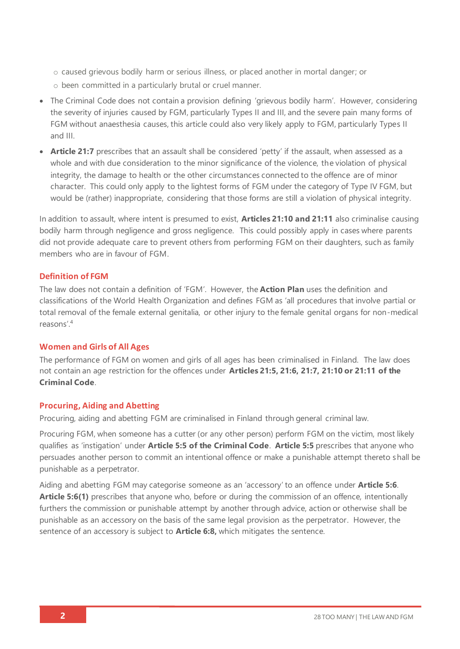o caused grievous bodily harm or serious illness, or placed another in mortal danger; or

- o been committed in a particularly brutal or cruel manner.
- The Criminal Code does not contain a provision defining 'grievous bodily harm'. However, considering the severity of injuries caused by FGM, particularly Types II and III, and the severe pain many forms of FGM without anaesthesia causes, this article could also very likely apply to FGM, particularly Types II and III.
- **Article 21:7** prescribes that an assault shall be considered 'petty' if the assault, when assessed as a whole and with due consideration to the minor significance of the violence, the violation of physical integrity, the damage to health or the other circumstances connected to the offence are of minor character. This could only apply to the lightest forms of FGM under the category of Type IV FGM, but would be (rather) inappropriate, considering that those forms are still a violation of physical integrity.

In addition to assault, where intent is presumed to exist, **Articles 21:10 and 21:11** also criminalise causing bodily harm through negligence and gross negligence. This could possibly apply in cases where parents did not provide adequate care to prevent others from performing FGM on their daughters, such as family members who are in favour of FGM

### **Definition of FGM**

The law does not contain a definition of 'FGM'. However, the **Action Plan** uses the definition and classifications of the World Health Organization and defines FGM as 'all procedures that involve partial or total removal of the female external genitalia, or other injury to the female genital organs for non-medical reasons'. 4

### **Women and Girls of All Ages**

The performance of FGM on women and girls of all ages has been criminalised in Finland. The law does not contain an age restriction for the offences under **Articles 21:5, 21:6, 21:7, 21:10 or 21:11 of the Criminal Code**.

### **Procuring, Aiding and Abetting**

Procuring, aiding and abetting FGM are criminalised in Finland through general criminal law.

Procuring FGM, when someone has a cutter (or any other person) perform FGM on the victim, most likely qualifies as 'instigation' under **Article 5:5 of the Criminal Code**. **Article 5:5** prescribes that anyone who persuades another person to commit an intentional offence or make a punishable attempt thereto shall be punishable as a perpetrator.

Aiding and abetting FGM may categorise someone as an 'accessory' to an offence under **Article 5:6**. **Article 5:6(1)** prescribes that anyone who, before or during the commission of an offence, intentionally furthers the commission or punishable attempt by another through advice, action or otherwise shall be punishable as an accessory on the basis of the same legal provision as the perpetrator. However, the sentence of an accessory is subject to **Article 6:8,** which mitigates the sentence.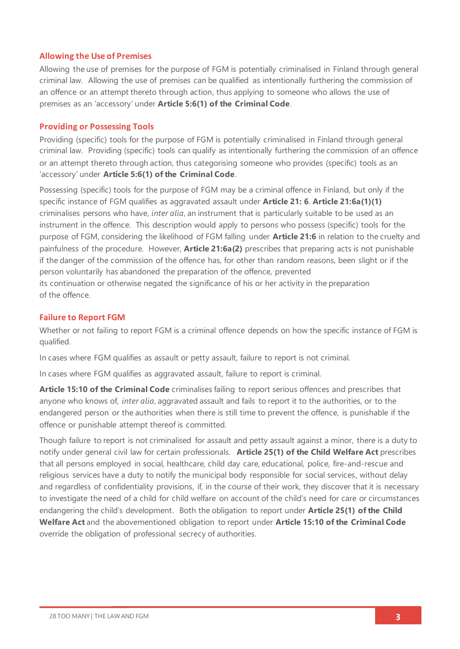### **Allowing the Use of Premises**

Allowing the use of premises for the purpose of FGM is potentially criminalised in Finland through general criminal law. Allowing the use of premises can be qualified as intentionally furthering the commission of an offence or an attempt thereto through action, thus applying to someone who allows the use of premises as an 'accessory' under **Article 5:6(1) of the Criminal Code**.

### **Providing or Possessing Tools**

Providing (specific) tools for the purpose of FGM is potentially criminalised in Finland through general criminal law. Providing (specific) tools can qualify as intentionally furthering the commission of an offence or an attempt thereto through action, thus categorising someone who provides (specific) tools as an 'accessory' under **Article 5:6(1) of the Criminal Code**.

Possessing (specific) tools for the purpose of FGM may be a criminal offence in Finland, but only if the specific instance of FGM qualifies as aggravated assault under **Article 21: 6**. **Article 21:6a(1)(1)** criminalises persons who have, *inter alia*, an instrument that is particularly suitable to be used as an instrument in the offence. This description would apply to persons who possess (specific) tools for the purpose of FGM, considering the likelihood of FGM falling under **Article 21:6** in relation to the cruelty and painfulness of the procedure. However, **Article 21:6a(2)** prescribes that preparing acts is not punishable if the danger of the commission of the offence has, for other than random reasons, been slight or if the person voluntarily has abandoned the preparation of the offence, prevented its continuation or otherwise negated the significance of his or her activity in the preparation of the offence.

### **Failure to Report FGM**

Whether or not failing to report FGM is a criminal offence depends on how the specific instance of FGM is qualified.

In cases where FGM qualifies as assault or petty assault, failure to report is not criminal.

In cases where FGM qualifies as aggravated assault, failure to report is criminal.

**Article 15:10 of the Criminal Code** criminalises failing to report serious offences and prescribes that anyone who knows of, *inter alia*, aggravated assault and fails to report it to the authorities, or to the endangered person or the authorities when there is still time to prevent the offence, is punishable if the offence or punishable attempt thereof is committed.

Though failure to report is not criminalised for assault and petty assault against a minor, there is a duty to notify under general civil law for certain professionals. **Article 25(1) of the Child Welfare Act** prescribes that all persons employed in social, healthcare, child day care, educational, police, fire-and-rescue and religious services have a duty to notify the municipal body responsible for social services, without delay and regardless of confidentiality provisions, if, in the course of their work, they discover that it is necessary to investigate the need of a child for child welfare on account of the child's need for care or circumstances endangering the child's development. Both the obligation to report under **Article 25(1) of the Child Welfare Act** and the abovementioned obligation to report under **Article 15:10 of the Criminal Code** override the obligation of professional secrecy of authorities.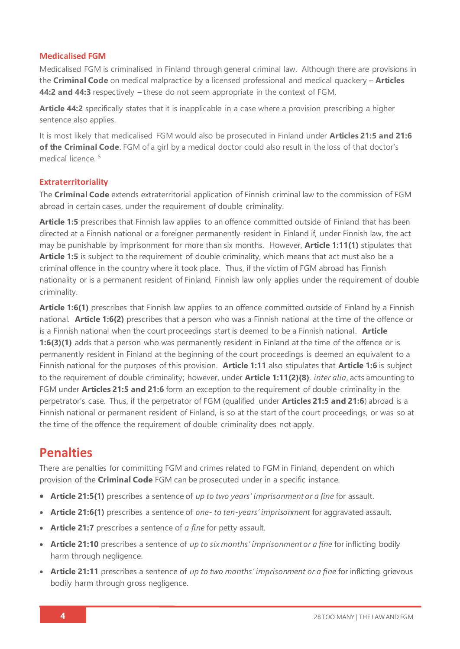### **Medicalised FGM**

Medicalised FGM is criminalised in Finland through general criminal law. Although there are provisions in the **Criminal Code** on medical malpractice by a licensed professional and medical quackery – **Articles 44:2 and 44:3** respectively **–** these do not seem appropriate in the context of FGM.

**Article 44:2** specifically states that it is inapplicable in a case where a provision prescribing a higher sentence also applies.

It is most likely that medicalised FGM would also be prosecuted in Finland under **Articles 21:5 and 21:6 of the Criminal Code**. FGM of a girl by a medical doctor could also result in the loss of that doctor's medical licence. 5

### **Extraterritoriality**

The **Criminal Code** extends extraterritorial application of Finnish criminal law to the commission of FGM abroad in certain cases, under the requirement of double criminality.

**Article 1:5** prescribes that Finnish law applies to an offence committed outside of Finland that has been directed at a Finnish national or a foreigner permanently resident in Finland if, under Finnish law, the act may be punishable by imprisonment for more than six months. However, **Article 1:11(1)** stipulates that **Article 1:5** is subject to the requirement of double criminality, which means that act must also be a criminal offence in the country where it took place. Thus, if the victim of FGM abroad has Finnish nationality or is a permanent resident of Finland, Finnish law only applies under the requirement of double criminality.

**Article 1:6(1)** prescribes that Finnish law applies to an offence committed outside of Finland by a Finnish national. **Article 1:6(2)** prescribes that a person who was a Finnish national at the time of the offence or is a Finnish national when the court proceedings start is deemed to be a Finnish national. **Article 1:6(3)(1)** adds that a person who was permanently resident in Finland at the time of the offence or is permanently resident in Finland at the beginning of the court proceedings is deemed an equivalent to a Finnish national for the purposes of this provision. **Article 1:11** also stipulates that **Article 1:6** is subject to the requirement of double criminality; however, under **Article 1:11(2)(8)**, *inter alia*, acts amounting to FGM under **Articles 21:5 and 21:6** form an exception to the requirement of double criminality in the perpetrator's case. Thus, if the perpetrator of FGM (qualified under **Articles 21:5 and 21:6**) abroad is a Finnish national or permanent resident of Finland, is so at the start of the court proceedings, or was so at the time of the offence the requirement of double criminality does not apply.

## **Penalties**

There are penalties for committing FGM and crimes related to FGM in Finland, dependent on which provision of the **Criminal Code** FGM can be prosecuted under in a specific instance.

- **Article 21:5(1)** prescribes a sentence of *up to two years' imprisonment or a fine* for assault.
- **Article 21:6(1)** prescribes a sentence of *one- to ten-years' imprisonment* for aggravated assault.
- **Article 21:7** prescribes a sentence of *a fine* for petty assault.
- **Article 21:10** prescribes a sentence of *up to six months' imprisonment or a fine* for inflicting bodily harm through negligence.
- **Article 21:11** prescribes a sentence of *up to two months' imprisonment or a fine* for inflicting grievous bodily harm through gross negligence.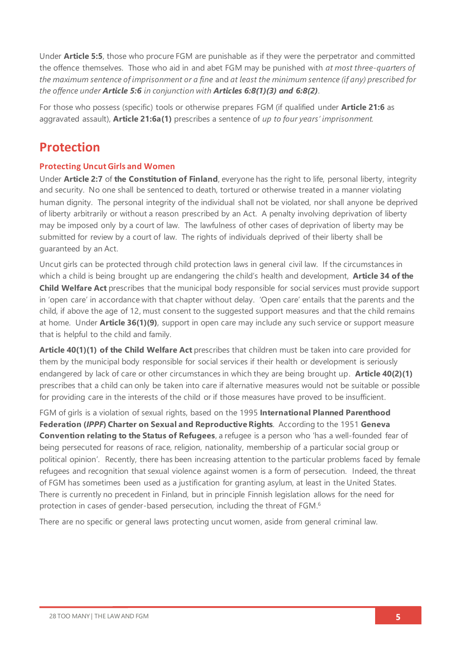Under **Article 5:5**, those who procure FGM are punishable as if they were the perpetrator and committed the offence themselves. Those who aid in and abet FGM may be punished with *at most three-quarters of the maximum sentence of imprisonment or a fine* and *at least the minimum sentence (if any) prescribed for the offence under Article 5:6 in conjunction with Articles 6:8(1)(3) and 6:8(2)*.

For those who possess (specific) tools or otherwise prepares FGM (if qualified under **Article 21:6** as aggravated assault), **Article 21:6a(1)** prescribes a sentence of *up to four years' imprisonment.*

## **Protection**

### **Protecting Uncut Girls and Women**

Under **Article 2:7** of **the Constitution of Finland**, everyone has the right to life, personal liberty, integrity and security. No one shall be sentenced to death, tortured or otherwise treated in a manner violating human dignity. The personal integrity of the individual shall not be violated, nor shall anyone be deprived of liberty arbitrarily or without a reason prescribed by an Act. A penalty involving deprivation of liberty may be imposed only by a court of law. The lawfulness of other cases of deprivation of liberty may be submitted for review by a court of law. The rights of individuals deprived of their liberty shall be guaranteed by an Act.

Uncut girls can be protected through child protection laws in general civil law. If the circumstances in which a child is being brought up are endangering the child's health and development, **Article 34 of the Child Welfare Act** prescribes that the municipal body responsible for social services must provide support in 'open care' in accordance with that chapter without delay. 'Open care' entails that the parents and the child, if above the age of 12, must consent to the suggested support measures and that the child remains at home. Under **Article 36(1)(9)**, support in open care may include any such service or support measure that is helpful to the child and family.

**Article 40(1)(1) of the Child Welfare Act** prescribes that children must be taken into care provided for them by the municipal body responsible for social services if their health or development is seriously endangered by lack of care or other circumstances in which they are being brought up. **Article 40(2)(1)** prescribes that a child can only be taken into care if alternative measures would not be suitable or possible for providing care in the interests of the child or if those measures have proved to be insufficient.

FGM of girls is a violation of sexual rights, based on the 1995 **International Planned Parenthood Federation (***IPPF***) Charter on Sexual and Reproductive Rights**. According to the 1951 **Geneva Convention relating to the Status of Refugees**, a refugee is a person who 'has a well-founded fear of being persecuted for reasons of race, religion, nationality, membership of a particular social group or political opinion'. Recently, there has been increasing attention to the particular problems faced by female refugees and recognition that sexual violence against women is a form of persecution. Indeed, the threat of FGM has sometimes been used as a justification for granting asylum, at least in the United States. There is currently no precedent in Finland, but in principle Finnish legislation allows for the need for protection in cases of gender-based persecution, including the threat of FGM.<sup>6</sup>

There are no specific or general laws protecting uncut women, aside from general criminal law.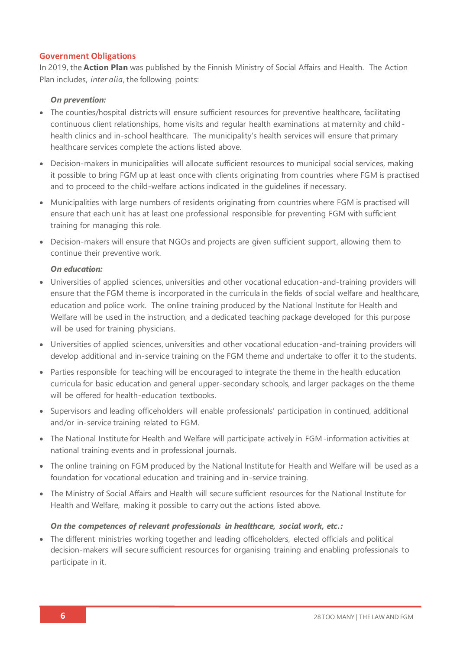### **Government Obligations**

In 2019, the **Action Plan** was published by the Finnish Ministry of Social Affairs and Health. The Action Plan includes, *inter alia*, the following points:

### *On prevention:*

- The counties/hospital districts will ensure sufficient resources for preventive healthcare, facilitating continuous client relationships, home visits and regular health examinations at maternity and childhealth clinics and in-school healthcare. The municipality's health services will ensure that primary healthcare services complete the actions listed above.
- Decision-makers in municipalities will allocate sufficient resources to municipal social services, making it possible to bring FGM up at least once with clients originating from countries where FGM is practised and to proceed to the child-welfare actions indicated in the guidelines if necessary.
- Municipalities with large numbers of residents originating from countries where FGM is practised will ensure that each unit has at least one professional responsible for preventing FGM with sufficient training for managing this role.
- Decision-makers will ensure that NGOs and projects are given sufficient support, allowing them to continue their preventive work.

### *On education:*

- Universities of applied sciences, universities and other vocational education-and-training providers will ensure that the FGM theme is incorporated in the curricula in the fields of social welfare and healthcare, education and police work. The online training produced by the National Institute for Health and Welfare will be used in the instruction, and a dedicated teaching package developed for this purpose will be used for training physicians.
- Universities of applied sciences, universities and other vocational education-and-training providers will develop additional and in-service training on the FGM theme and undertake to offer it to the students.
- Parties responsible for teaching will be encouraged to integrate the theme in the health education curricula for basic education and general upper-secondary schools, and larger packages on the theme will be offered for health-education textbooks.
- Supervisors and leading officeholders will enable professionals' participation in continued, additional and/or in-service training related to FGM.
- The National Institute for Health and Welfare will participate actively in FGM-information activities at national training events and in professional journals.
- The online training on FGM produced by the National Institute for Health and Welfare will be used as a foundation for vocational education and training and in-service training.
- The Ministry of Social Affairs and Health will secure sufficient resources for the National Institute for Health and Welfare, making it possible to carry out the actions listed above.

### *On the competences of relevant professionals in healthcare, social work, etc.:*

• The different ministries working together and leading officeholders, elected officials and political decision-makers will secure sufficient resources for organising training and enabling professionals to participate in it.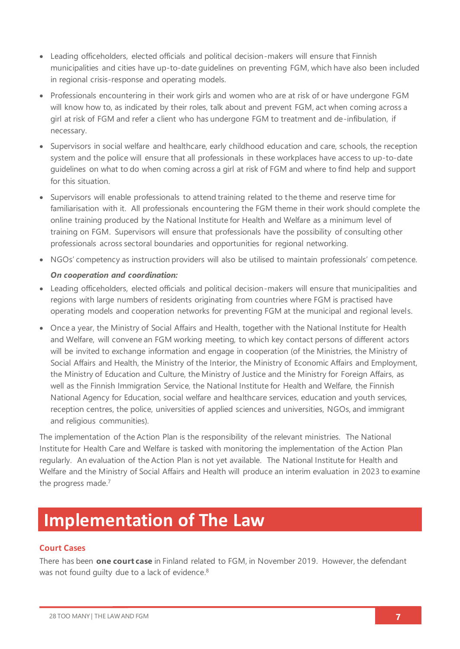- Leading officeholders, elected officials and political decision-makers will ensure that Finnish municipalities and cities have up-to-date guidelines on preventing FGM, which have also been included in regional crisis-response and operating models.
- Professionals encountering in their work girls and women who are at risk of or have undergone FGM will know how to, as indicated by their roles, talk about and prevent FGM, act when coming across a girl at risk of FGM and refer a client who has undergone FGM to treatment and de-infibulation, if necessary.
- Supervisors in social welfare and healthcare, early childhood education and care, schools, the reception system and the police will ensure that all professionals in these workplaces have access to up-to-date guidelines on what to do when coming across a girl at risk of FGM and where to find help and support for this situation.
- Supervisors will enable professionals to attend training related to the theme and reserve time for familiarisation with it. All professionals encountering the FGM theme in their work should complete the online training produced by the National Institute for Health and Welfare as a minimum level of training on FGM. Supervisors will ensure that professionals have the possibility of consulting other professionals across sectoral boundaries and opportunities for regional networking.
- NGOs' competency as instruction providers will also be utilised to maintain professionals' competence.

### *On cooperation and coordination:*

- Leading officeholders, elected officials and political decision-makers will ensure that municipalities and regions with large numbers of residents originating from countries where FGM is practised have operating models and cooperation networks for preventing FGM at the municipal and regional levels.
- Once a year, the Ministry of Social Affairs and Health, together with the National Institute for Health and Welfare, will convene an FGM working meeting, to which key contact persons of different actors will be invited to exchange information and engage in cooperation (of the Ministries, the Ministry of Social Affairs and Health, the Ministry of the Interior, the Ministry of Economic Affairs and Employment, the Ministry of Education and Culture, the Ministry of Justice and the Ministry for Foreign Affairs, as well as the Finnish Immigration Service, the National Institute for Health and Welfare, the Finnish National Agency for Education, social welfare and healthcare services, education and youth services, reception centres, the police, universities of applied sciences and universities, NGOs, and immigrant and religious communities).

The implementation of the Action Plan is the responsibility of the relevant ministries. The National Institute for Health Care and Welfare is tasked with monitoring the implementation of the Action Plan regularly. An evaluation of the Action Plan is not yet available. The National Institute for Health and Welfare and the Ministry of Social Affairs and Health will produce an interim evaluation in 2023 to examine the progress made.<sup>7</sup>

# **Implementation of The Law**

### **Court Cases**

There has been **one court case** in Finland related to FGM, in November 2019. However, the defendant was not found quilty due to a lack of evidence.<sup>8</sup>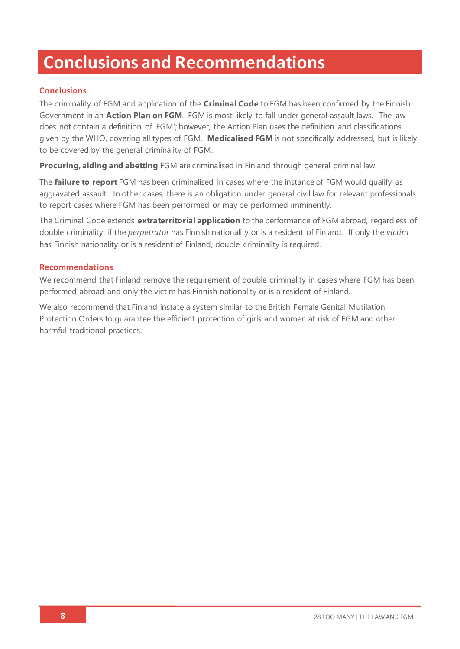# **Conclusions and Recommendations**

## **Conclusions**

The criminality of FGM and application of the **Criminal Code** to FGM has been confirmed by the Finnish Government in an **Action Plan on FGM**. FGM is most likely to fall under general assault laws. The law does not contain a definition of 'FGM'; however, the Action Plan uses the definition and classifications given by the WHO, covering all types of FGM. **Medicalised FGM** is not specifically addressed, but is likely to be covered by the general criminality of FGM.

**Procuring, aiding and abetting** FGM are criminalised in Finland through general criminal law.

The **failure to report** FGM has been criminalised in cases where the instance of FGM would qualify as aggravated assault. In other cases, there is an obligation under general civil law for relevant professionals to report cases where FGM has been performed or may be performed imminently.

The Criminal Code extends **extraterritorial application** to the performance of FGM abroad, regardless of double criminality, if the *perpetrator* has Finnish nationality or is a resident of Finland. If only the *victim* has Finnish nationality or is a resident of Finland, double criminality is required.

### **Recommendations**

We recommend that Finland remove the requirement of double criminality in cases where FGM has been performed abroad and only the victim has Finnish nationality or is a resident of Finland.

We also recommend that Finland instate a system similar to the British Female Genital Mutilation Protection Orders to guarantee the efficient protection of girls and women at risk of FGM and other harmful traditional practices.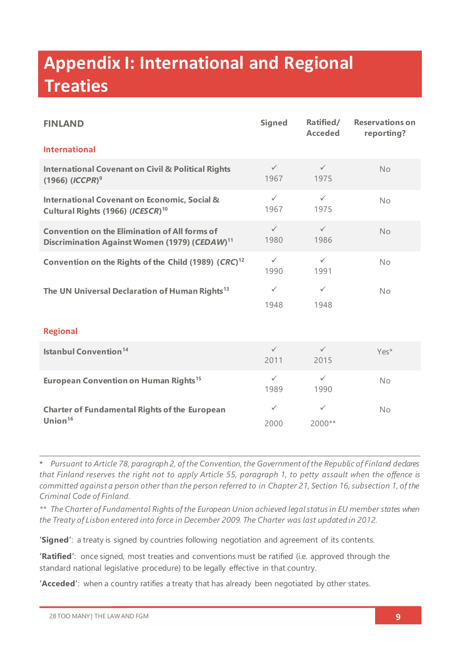# **Appendix I: International and Regional Treaties**

| <b>FINLAND</b>                                                                                                    | <b>Signed</b>        | Ratified/<br><b>Acceded</b> | <b>Reservations on</b><br>reporting? |  |  |
|-------------------------------------------------------------------------------------------------------------------|----------------------|-----------------------------|--------------------------------------|--|--|
| <b>International</b>                                                                                              |                      |                             |                                      |  |  |
| <b>International Covenant on Civil &amp; Political Rights</b><br>$(1966)$ (ICCPR) <sup>9</sup>                    | $\checkmark$<br>1967 | $\checkmark$<br>1975        | <b>No</b>                            |  |  |
| <b>International Covenant on Economic, Social &amp;</b><br>Cultural Rights (1966) (ICESCR) <sup>10</sup>          | $\checkmark$<br>1967 | $\checkmark$<br>1975        | No                                   |  |  |
| <b>Convention on the Elimination of All forms of</b><br>Discrimination Against Women (1979) (CEDAW) <sup>11</sup> | $\checkmark$<br>1980 | $\checkmark$<br>1986        | <b>No</b>                            |  |  |
| Convention on the Rights of the Child (1989) (CRC) <sup>12</sup>                                                  | $\checkmark$<br>1990 | $\checkmark$<br>1991        | No                                   |  |  |
| The UN Universal Declaration of Human Rights <sup>13</sup>                                                        | $\checkmark$<br>1948 | $\checkmark$<br>1948        | No                                   |  |  |
| <b>Regional</b>                                                                                                   |                      |                             |                                      |  |  |
| <b>Istanbul Convention<sup>14</sup></b>                                                                           | $\checkmark$<br>2011 | $\checkmark$<br>2015        | Yes*                                 |  |  |
| European Convention on Human Rights <sup>15</sup>                                                                 | $\checkmark$<br>1989 | $\checkmark$<br>1990        | No                                   |  |  |
| <b>Charter of Fundamental Rights of the European</b><br>Union $16$                                                | $\checkmark$<br>2000 | $\checkmark$<br>2000**      | <b>No</b>                            |  |  |

**\*** *Pursuant to Article 78, paragraph 2, of the Convention, the Government of the Republic of Finland declares that Finland reserves the right not to apply Article 55, paragraph 1, to petty assault when the offence is committed against a person other than the person referred to in Chapter 21, Section 16, subsection 1, of the Criminal Code of Finland.*

*\*\* The Charter of Fundamental Rights of the European Union achieved legal status in EU member states when the Treaty of Lisbon entered into force in December 2009. The Charter was last updated in 2012.*

**'Signed'**: a treaty is signed by countries following negotiation and agreement of its contents.

**'Ratified'**: once signed, most treaties and conventions must be ratified (i.e. approved through the standard national legislative procedure) to be legally effective in that country.

**'Acceded'**: when a country ratifies a treaty that has already been negotiated by other states.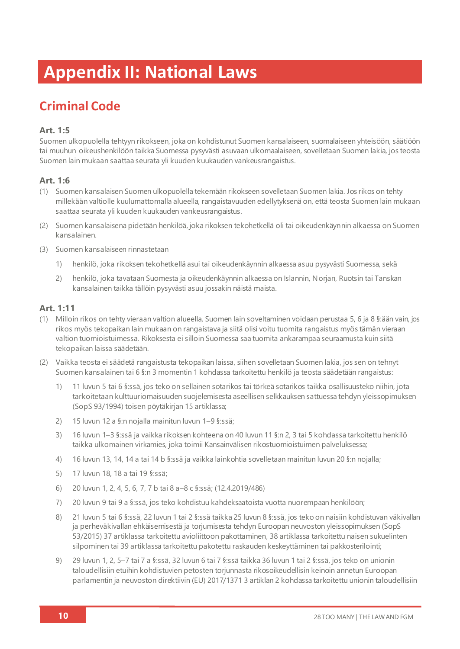# **Appendix II: National Laws**

# **Criminal Code**

## **Art. 1:5**

Suomen ulkopuolella tehtyyn rikokseen, joka on kohdistunut Suomen kansalaiseen, suomalaiseen yhteisöön, säätiöön tai muuhun oikeushenkilöön taikka Suomessa pysyvästi asuvaan ulkomaalaiseen, sovelletaan Suomen lakia, jos teosta Suomen lain mukaan saattaa seurata yli kuuden kuukauden vankeusrangaistus.

### **Art. 1:6**

- (1) Suomen kansalaisen Suomen ulkopuolella tekemään rikokseen sovelletaan Suomen lakia. Jos rikos on tehty millekään valtiolle kuulumattomalla alueella, rangaistavuuden edellytyksenä on, että teosta Suomen lain mukaan saattaa seurata yli kuuden kuukauden vankeusrangaistus.
- (2) Suomen kansalaisena pidetään henkilöä, joka rikoksen tekohetkellä oli tai oikeudenkäynnin alkaessa on Suomen kansalainen.
- (3) Suomen kansalaiseen rinnastetaan
	- 1) henkilö, joka rikoksen tekohetkellä asui tai oikeudenkäynnin alkaessa asuu pysyvästi Suomessa, sekä
	- 2) henkilö, joka tavataan Suomesta ja oikeudenkäynnin alkaessa on Islannin, Norjan, Ruotsin tai Tanskan kansalainen taikka tällöin pysyvästi asuu jossakin näistä maista.

## **Art. 1:11**

- (1) Milloin rikos on tehty vieraan valtion alueella, Suomen lain soveltaminen voidaan perustaa 5, 6 ja 8 §:ään vain, jos rikos myös tekopaikan lain mukaan on rangaistava ja siitä olisi voitu tuomita rangaistus myös tämän vieraan valtion tuomioistuimessa. Rikoksesta ei silloin Suomessa saa tuomita ankarampaa seuraamusta kuin siitä tekopaikan laissa säädetään.
- (2) Vaikka teosta ei säädetä rangaistusta tekopaikan laissa, siihen sovelletaan Suomen lakia, jos sen on tehnyt Suomen kansalainen tai 6 §:n 3 momentin 1 kohdassa tarkoitettu henkilö ja teosta säädetään rangaistus:
	- 1) 11 luvun 5 tai 6 §:ssä, jos teko on sellainen sotarikos tai törkeä sotarikos taikka osallisuusteko niihin, jota tarkoitetaan kulttuuriomaisuuden suojelemisesta aseellisen selkkauksen sattuessa tehdyn yleissopimuksen (SopS 93/1994) toisen pöytäkirjan 15 artiklassa;
	- 2) 15 luvun 12 a §:n nojalla mainitun luvun 1–9 §:ssä;
	- 3) 16 luvun 1–3 §:ssä ja vaikka rikoksen kohteena on 40 luvun 11 §:n 2, 3 tai 5 kohdassa tarkoitettu henkilö taikka ulkomainen virkamies, joka toimii Kansainvälisen rikostuomioistuimen palveluksessa;
	- 4) 16 luvun 13, 14, 14 a tai 14 b §:ssä ja vaikka lainkohtia sovelletaan mainitun luvun 20 §:n nojalla;
	- 5) 17 luvun 18, 18 a tai 19 §:ssä;
	- 6) 20 luvun 1, 2, 4, 5, 6, 7, 7 b tai 8 a–8 c §:ssä; (12.4.2019/486)
	- 7) 20 luvun 9 tai 9 a §:ssä, jos teko kohdistuu kahdeksaatoista vuotta nuorempaan henkilöön;
	- 8) 21 luvun 5 tai 6 §:ssä, 22 luvun 1 tai 2 §:ssä taikka 25 luvun 8 §:ssä, jos teko on naisiin kohdistuvan väkivallan ja perheväkivallan ehkäisemisestä ja torjumisesta tehdyn Euroopan neuvoston yleissopimuksen (SopS 53/2015) 37 artiklassa tarkoitettu avioliittoon pakottaminen, 38 artiklassa tarkoitettu naisen sukuelinten silpominen tai 39 artiklassa tarkoitettu pakotettu raskauden keskeyttäminen tai pakkosterilointi;
	- 9) 29 luvun 1, 2, 5–7 tai 7 a §:ssä, 32 luvun 6 tai 7 §:ssä taikka 36 luvun 1 tai 2 §:ssä, jos teko on unionin taloudellisiin etuihin kohdistuvien petosten torjunnasta rikosoikeudellisin keinoin annetun Euroopan parlamentin ja neuvoston direktiivin (EU) 2017/1371 3 artiklan 2 kohdassa tarkoitettu unionin taloudellisiin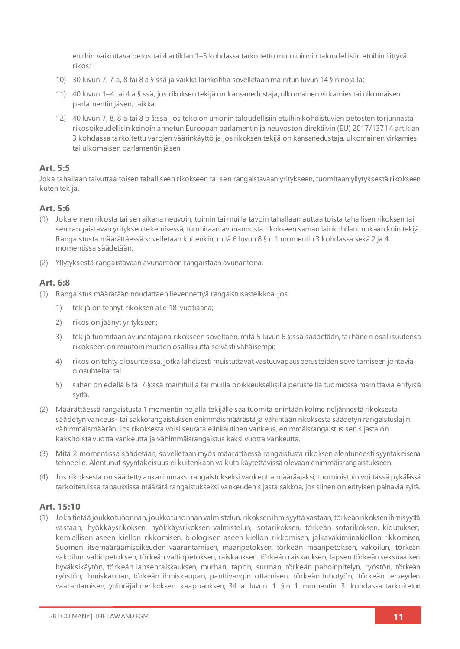etuihin vaikuttava petos tai 4 artiklan 1–3 kohdassa tarkoitettu muu unionin taloudellisiin etuihin liittyvä rikos;

- 10) 30 luvun 7, 7 a, 8 tai 8 a §:ssä ja vaikka lainkohtia sovelletaan mainitun luvun 14 §:n nojalla;
- 11) 40 luvun 1–4 tai 4 a §:ssä, jos rikoksen tekijä on kansanedustaja, ulkomainen virkamies tai ulkomaisen parlamentin jäsen; taikka
- 12) 40 luvun 7, 8, 8 a tai 8 b §:ssä, jos teko on unionin taloudellisiin etuihin kohdistuvien petosten torjunnasta rikosoikeudellisin keinoin annetun Euroopan parlamentin ja neuvoston direktiivin (EU) 2017/1371 4 artiklan 3 kohdassa tarkoitettu varojen väärinkäyttö ja jos rikoksen tekijä on kansanedustaja, ulkomainen virkamies tai ulkomaisen parlamentin jäsen.

### **Art. 5:5**

Joka tahallaan taivuttaa toisen tahalliseen rikokseen tai sen rangaistavaan yritykseen, tuomitaan yllytyksestä rikokseen kuten tekijä.

### **Art. 5:6**

- (1) Joka ennen rikosta tai sen aikana neuvoin, toimin tai muilla tavoin tahallaan auttaa toista tahallisen rikoksen tai sen rangaistavan yrityksen tekemisessä, tuomitaan avunannosta rikokseen saman lainkohdan mukaan kuin tekijä. Rangaistusta määrättäessä sovelletaan kuitenkin, mitä 6 luvun 8 §:n 1 momentin 3 kohdassa sekä 2 ja 4 momentissa säädetään.
- (2) Yllytyksestä rangaistavaan avunantoon rangaistaan avunantona.

### **Art. 6:8**

- (1) Rangaistus määrätään noudattaen lievennettyä rangaistusasteikkoa, jos:
	- 1) tekijä on tehnyt rikoksen alle 18-vuotiaana;
	- 2) rikos on jäänyt yritykseen;
	- 3) tekijä tuomitaan avunantajana rikokseen soveltaen, mitä 5 luvun 6 §:ssä säädetään, tai hänen osallisuutensa rikokseen on muutoin muiden osallisuutta selvästi vähäisempi;
	- 4) rikos on tehty olosuhteissa, jotka läheisesti muistuttavat vastuuvapausperusteiden soveltamiseen johtavia olosuhteita; tai
	- 5) siihen on edellä 6 tai 7 §:ssä mainituilla tai muilla poikkeuksellisilla perusteilla tuomiossa mainittavia erityisiä syitä.
- (2) Määrättäessä rangaistusta 1 momentin nojalla tekijälle saa tuomita enintään kolme neljännestä rikoksesta säädetyn vankeus- tai sakkorangaistuksen enimmäismäärästä ja vähintään rikoksesta säädetyn rangaistuslajin vähimmäismäärän. Jos rikoksesta voisi seurata elinkautinen vankeus, enimmäisrangaistus sen sijasta on kaksitoista vuotta vankeutta ja vähimmäisrangaistus kaksi vuotta vankeutta.
- (3) Mitä 2 momentissa säädetään, sovelletaan myös määrättäessä rangaistusta rikoksen alentuneesti syyntakeisena tehneelle. Alentunut syyntakeisuus ei kuitenkaan vaikuta käytettävissä olevaan enimmäisrangaistukseen.
- (4) Jos rikoksesta on säädetty ankarimmaksi rangaistukseksi vankeutta määräajaksi, tuomioistuin voi tässä pykälässä tarkoitetuissa tapauksissa määrätä rangaistukseksi vankeuden sijasta sakkoa, jos siihen on erityisen painavia syitä.

### **Art. 15:10**

(1) Joka tietää joukkotuhonnan, joukkotuhonnan valmistelun, rikoksen ihmisyyttä vastaan, törkeän rikoksen ihmisyyttä vastaan, hyökkäysrikoksen, hyökkäysrikoksen valmistelun, sotarikoksen, törkeän sotarikoksen, kidutuksen, kemiallisen aseen kiellon rikkomisen, biologisen aseen kiellon rikkomisen, jalkaväkimiinakiellon rikkomisen, Suomen itsemääräämisoikeuden vaarantamisen, maanpetoksen, törkeän maanpetoksen, vakoilun, törkeän vakoilun, valtiopetoksen, törkeän valtiopetoksen, raiskauksen, törkeän raiskauksen, lapsen törkeän seksuaalisen hyväksikäytön, törkeän lapsenraiskauksen, murhan, tapon, surman, törkeän pahoinpitelyn, ryöstön, törkeän ryöstön, ihmiskaupan, törkeän ihmiskaupan, panttivangin ottamisen, törkeän tuhotyön, törkeän terveyden vaarantamisen, ydinräjähderikoksen, kaappauksen, 34 a luvun 1 §:n 1 momentin 3 kohdassa tarkoitetun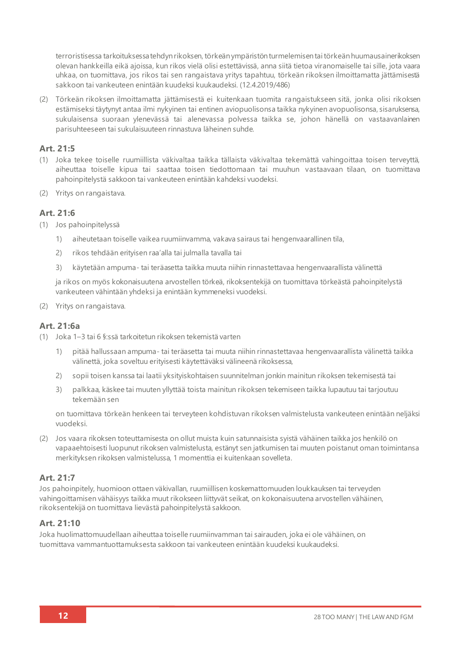terroristisessa tarkoituksessa tehdyn rikoksen, törkeän ympäristön turmelemisen tai törkeän huumausainerikoksen olevan hankkeilla eikä ajoissa, kun rikos vielä olisi estettävissä, anna siitä tietoa viranomaiselle tai sille, jota vaara uhkaa, on tuomittava, jos rikos tai sen rangaistava yritys tapahtuu, törkeän rikoksen ilmoittamatta jättämisestä sakkoon tai vankeuteen enintään kuudeksi kuukaudeksi. (12.4.2019/486)

(2) Törkeän rikoksen ilmoittamatta jättämisestä ei kuitenkaan tuomita rangaistukseen sitä, jonka olisi rikoksen estämiseksi täytynyt antaa ilmi nykyinen tai entinen aviopuolisonsa taikka nykyinen avopuolisonsa, sisaruksensa, sukulaisensa suoraan ylenevässä tai alenevassa polvessa taikka se, johon hänellä on vastaavanlainen parisuhteeseen tai sukulaisuuteen rinnastuva läheinen suhde.

### **Art. 21:5**

- (1) Joka tekee toiselle ruumiillista väkivaltaa taikka tällaista väkivaltaa tekemättä vahingoittaa toisen terveyttä, aiheuttaa toiselle kipua tai saattaa toisen tiedottomaan tai muuhun vastaavaan tilaan, on tuomittava pahoinpitelystä sakkoon tai vankeuteen enintään kahdeksi vuodeksi.
- (2) Yritys on rangaistava.

### **Art. 21:6**

- (1) Jos pahoinpitelyssä
	- 1) aiheutetaan toiselle vaikea ruumiinvamma, vakava sairaus tai hengenvaarallinen tila,
	- 2) rikos tehdään erityisen raa'alla tai julmalla tavalla tai
	- 3) käytetään ampuma- tai teräasetta taikka muuta niihin rinnastettavaa hengenvaarallista välinettä

ja rikos on myös kokonaisuutena arvostellen törkeä, rikoksentekijä on tuomittava törkeästä pahoinpitelystä vankeuteen vähintään yhdeksi ja enintään kymmeneksi vuodeksi.

(2) Yritys on rangaistava.

### **Art. 21:6a**

- (1) Joka 1–3 tai 6 §:ssä tarkoitetun rikoksen tekemistä varten
	- 1) pitää hallussaan ampuma- tai teräasetta tai muuta niihin rinnastettavaa hengenvaarallista välinettä taikka välinettä, joka soveltuu erityisesti käytettäväksi välineenä rikoksessa,
	- 2) sopii toisen kanssa tai laatii yksityiskohtaisen suunnitelman jonkin mainitun rikoksen tekemisestä tai
	- 3) palkkaa, käskee tai muuten yllyttää toista mainitun rikoksen tekemiseen taikka lupautuu tai tarjoutuu tekemään sen

on tuomittava törkeän henkeen tai terveyteen kohdistuvan rikoksen valmistelusta vankeuteen enintään neljäksi vuodeksi.

(2) Jos vaara rikoksen toteuttamisesta on ollut muista kuin satunnaisista syistä vähäinen taikka jos henkilö on vapaaehtoisesti luopunut rikoksen valmistelusta, estänyt sen jatkumisen tai muuten poistanut oman toimintansa merkityksen rikoksen valmistelussa, 1 momenttia ei kuitenkaan sovelleta.

### **Art. 21:7**

Jos pahoinpitely, huomioon ottaen väkivallan, ruumiillisen koskemattomuuden loukkauksen tai terveyden vahingoittamisen vähäisyys taikka muut rikokseen liittyvät seikat, on kokonaisuutena arvostellen vähäinen, rikoksentekijä on tuomittava lievästä pahoinpitelystä sakkoon.

### **Art. 21:10**

Joka huolimattomuudellaan aiheuttaa toiselle ruumiinvamman tai sairauden, joka ei ole vähäinen, on tuomittava vammantuottamuksesta sakkoon tai vankeuteen enintään kuudeksi kuukaudeksi.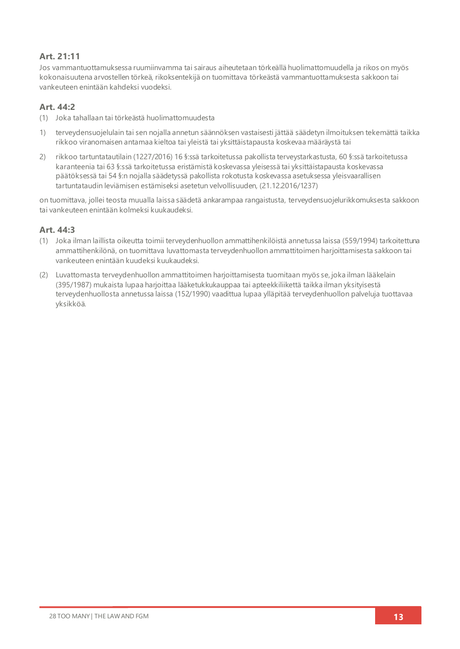## **Art. 21:11**

Jos vammantuottamuksessa ruumiinvamma tai sairaus aiheutetaan törkeällä huolimattomuudella ja rikos on myös kokonaisuutena arvostellen törkeä, rikoksentekijä on tuomittava törkeästä vammantuottamuksesta sakkoon tai vankeuteen enintään kahdeksi vuodeksi.

### **Art. 44:2**

- (1) Joka tahallaan tai törkeästä huolimattomuudesta
- 1) terveydensuojelulain tai sen nojalla annetun säännöksen vastaisesti jättää säädetyn ilmoituksen tekemättä taikka rikkoo viranomaisen antamaa kieltoa tai yleistä tai yksittäistapausta koskevaa määräystä tai
- 2) rikkoo tartuntatautilain (1227/2016) 16 §:ssä tarkoitetussa pakollista terveystarkastusta, 60 §:ssä tarkoitetussa karanteenia tai 63 §:ssä tarkoitetussa eristämistä koskevassa yleisessä tai yksittäistapausta koskevassa päätöksessä tai 54 §:n nojalla säädetyssä pakollista rokotusta koskevassa asetuksessa yleisvaarallisen tartuntataudin leviämisen estämiseksi asetetun velvollisuuden, (21.12.2016/1237)

on tuomittava, jollei teosta muualla laissa säädetä ankarampaa rangaistusta, terveydensuojelurikkomuksesta sakkoon tai vankeuteen enintään kolmeksi kuukaudeksi.

### **Art. 44:3**

- (1) Joka ilman laillista oikeutta toimii terveydenhuollon ammattihenkilöistä annetussa laissa (559/1994) tarkoitettuna ammattihenkilönä, on tuomittava luvattomasta terveydenhuollon ammattitoimen harjoittamisesta sakkoon tai vankeuteen enintään kuudeksi kuukaudeksi.
- (2) Luvattomasta terveydenhuollon ammattitoimen harjoittamisesta tuomitaan myös se, joka ilman lääkelain (395/1987) mukaista lupaa harjoittaa lääketukkukauppaa tai apteekkiliikettä taikka ilman yksityisestä terveydenhuollosta annetussa laissa (152/1990) vaadittua lupaa ylläpitää terveydenhuollon palveluja tuottavaa yksikköä.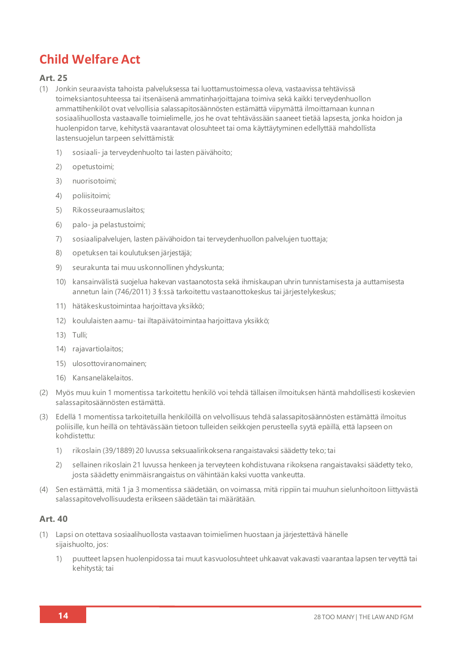# **Child Welfare Act**

### **Art. 25**

- (1) Jonkin seuraavista tahoista palveluksessa tai luottamustoimessa oleva, vastaavissa tehtävissä toimeksiantosuhteessa tai itsenäisenä ammatinharjoittajana toimiva sekä kaikki terveydenhuollon ammattihenkilöt ovat velvollisia salassapitosäännösten estämättä viipymättä ilmoittamaan kunnan sosiaalihuollosta vastaavalle toimielimelle, jos he ovat tehtävässään saaneet tietää lapsesta, jonka hoidon ja huolenpidon tarve, kehitystä vaarantavat olosuhteet tai oma käyttäytyminen edellyttää mahdollista lastensuojelun tarpeen selvittämistä:
	- 1) sosiaali- ja terveydenhuolto tai lasten päivähoito;
	- 2) opetustoimi;
	- 3) nuorisotoimi;
	- 4) poliisitoimi;
	- 5) Rikosseuraamuslaitos;
	- 6) palo- ja pelastustoimi;
	- 7) sosiaalipalvelujen, lasten päivähoidon tai terveydenhuollon palvelujen tuottaja;
	- 8) opetuksen tai koulutuksen järjestäjä;
	- 9) seurakunta tai muu uskonnollinen yhdyskunta;
	- 10) kansainvälistä suojelua hakevan vastaanotosta sekä ihmiskaupan uhrin tunnistamisesta ja auttamisesta annetun lain (746/2011) 3 §:ssä tarkoitettu vastaanottokeskus tai järjestelykeskus;
	- 11) hätäkeskustoimintaa harjoittava yksikkö;
	- 12) koululaisten aamu- tai iltapäivätoimintaa harjoittava yksikkö;
	- 13) Tulli;
	- 14) rajavartiolaitos;
	- 15) ulosottoviranomainen;
	- 16) Kansaneläkelaitos.
- (2) Myös muu kuin 1 momentissa tarkoitettu henkilö voi tehdä tällaisen ilmoituksen häntä mahdollisesti koskevien salassapitosäännösten estämättä.
- (3) Edellä 1 momentissa tarkoitetuilla henkilöillä on velvollisuus tehdä salassapitosäännösten estämättä ilmoitus poliisille, kun heillä on tehtävässään tietoon tulleiden seikkojen perusteella syytä epäillä, että lapseen on kohdistettu:
	- 1) rikoslain (39/1889) 20 luvussa seksuaalirikoksena rangaistavaksi säädetty teko; tai
	- 2) sellainen rikoslain 21 luvussa henkeen ja terveyteen kohdistuvana rikoksena rangaistavaksi säädetty teko, josta säädetty enimmäisrangaistus on vähintään kaksi vuotta vankeutta.
- (4) Sen estämättä, mitä 1 ja 3 momentissa säädetään, on voimassa, mitä rippiin tai muuhun sielunhoitoon liittyvästä salassapitovelvollisuudesta erikseen säädetään tai määrätään.

### **Art. 40**

- (1) Lapsi on otettava sosiaalihuollosta vastaavan toimielimen huostaan ja järjestettävä hänelle sijaishuolto, jos:
	- 1) puutteet lapsen huolenpidossa tai muut kasvuolosuhteet uhkaavat vakavasti vaarantaa lapsen ter veyttä tai kehitystä; tai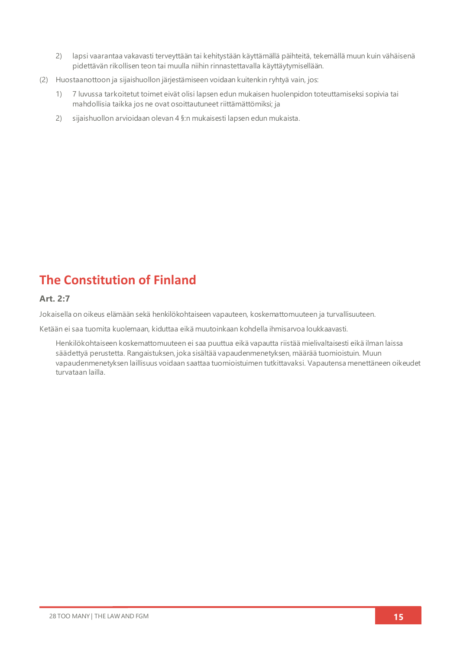- 2) lapsi vaarantaa vakavasti terveyttään tai kehitystään käyttämällä päihteitä, tekemällä muun kuin vähäisenä pidettävän rikollisen teon tai muulla niihin rinnastettavalla käyttäytymisellään.
- (2) Huostaanottoon ja sijaishuollon järjestämiseen voidaan kuitenkin ryhtyä vain, jos:
	- 1) 7 luvussa tarkoitetut toimet eivät olisi lapsen edun mukaisen huolenpidon toteuttamiseksi sopivia tai mahdollisia taikka jos ne ovat osoittautuneet riittämättömiksi; ja
	- 2) sijaishuollon arvioidaan olevan 4 §:n mukaisesti lapsen edun mukaista.

# **The Constitution of Finland**

### **Art. 2:7**

Jokaisella on oikeus elämään sekä henkilökohtaiseen vapauteen, koskemattomuuteen ja turvallisuuteen.

Ketään ei saa tuomita kuolemaan, kiduttaa eikä muutoinkaan kohdella ihmisarvoa loukkaavasti.

Henkilökohtaiseen koskemattomuuteen ei saa puuttua eikä vapautta riistää mielivaltaisesti eikä ilman laissa säädettyä perustetta. Rangaistuksen, joka sisältää vapaudenmenetyksen, määrää tuomioistuin. Muun vapaudenmenetyksen laillisuus voidaan saattaa tuomioistuimen tutkittavaksi. Vapautensa menettäneen oikeudet turvataan lailla.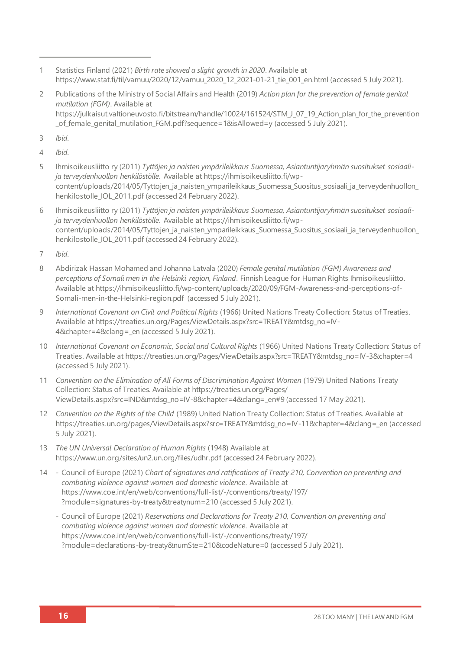- 1 Statistics Finland (2021) *Birth rate showed a slight growth in 2020*. Available at [https://www.stat.fi/til/vamuu/2020/12/vamuu\\_2020\\_12\\_2021-01-21\\_tie\\_001\\_en.html](https://www.stat.fi/til/vamuu/2020/12/vamuu_2020_12_2021-01-21_tie_001_en.html) (accessed 5 July 2021).
- 2 Publications of the Ministry of Social Affairs and Health (2019) *Action plan for the prevention of female genital mutilation (FGM)*. Available at https://julkaisut.valtioneuvosto.fi/bitstream/handle/10024/161524/STM J\_07\_19\_Action\_plan\_for\_the\_prevention of female genital mutilation FGM.pdf?sequence=1&isAllowed=y (accessed 5 July 2021).
- 3 *Ibid*.
- 4 *Ibid*.
- 5 Ihmisoikeusliitto ry (2011) *Tyttöjen ja naisten ympärileikkaus Suomessa, Asiantuntijaryhmän suositukset sosiaalija terveydenhuollon henkilöstölle*. Available a[t https://ihmisoikeusliitto.fi/wp](https://ihmisoikeusliitto.fi/wp-content/uploads/2014/05/Tyttojen_ja_naisten_ymparileikkaus_Suomessa_Suositus_sosiaali_ja_terveydenhuollon_henkilostolle_IOL_2011.pdf)content/uploads/2014/05/Tyttojen ja naisten ymparileikkaus Suomessa Suositus sosiaali ja terveydenhuollon [henkilostolle\\_IOL\\_2011.pdf](https://ihmisoikeusliitto.fi/wp-content/uploads/2014/05/Tyttojen_ja_naisten_ymparileikkaus_Suomessa_Suositus_sosiaali_ja_terveydenhuollon_henkilostolle_IOL_2011.pdf) (accessed 24 February 2022).
- 6 Ihmisoikeusliitto ry (2011) *Tyttöjen ja naisten ympärileikkaus Suomessa, Asiantuntijaryhmän suositukset sosiaalija terveydenhuollon henkilöstölle*. Available a[t https://ihmisoikeusliitto.fi/wp](https://ihmisoikeusliitto.fi/wp-content/uploads/2014/05/Tyttojen_ja_naisten_ymparileikkaus_Suomessa_Suositus_sosiaali_ja_terveydenhuollon_henkilostolle_IOL_2011.pdf)[content/uploads/2014/05/Tyttojen\\_ja\\_naisten\\_ymparileikkaus\\_Suomessa\\_Suositus\\_sosiaali\\_ja\\_terveydenhuollon\\_](https://ihmisoikeusliitto.fi/wp-content/uploads/2014/05/Tyttojen_ja_naisten_ymparileikkaus_Suomessa_Suositus_sosiaali_ja_terveydenhuollon_henkilostolle_IOL_2011.pdf) [henkilostolle\\_IOL\\_2011.pdf](https://ihmisoikeusliitto.fi/wp-content/uploads/2014/05/Tyttojen_ja_naisten_ymparileikkaus_Suomessa_Suositus_sosiaali_ja_terveydenhuollon_henkilostolle_IOL_2011.pdf) (accessed 24 February 2022).
- 7 *Ibid*.
- 8 Abdirizak Hassan Mohamed and Johanna Latvala (2020) *Female genital mutilation (FGM) Awareness and perceptions of Somali men in the Helsinki region, Finland*. Finnish League for Human Rights Ihmisoikeusliitto. Available a[t https://ihmisoikeusliitto.fi/wp-content/uploads/2020/09/FGM-Awareness-and-perceptions-of-](https://ihmisoikeusliitto.fi/wp-content/uploads/2020/09/FGM-Awareness-and-perceptions-of-Somali-men-in-the-Helsinki-region.pdf)[Somali-men-in-the-Helsinki-region.pdf](https://ihmisoikeusliitto.fi/wp-content/uploads/2020/09/FGM-Awareness-and-perceptions-of-Somali-men-in-the-Helsinki-region.pdf) (accessed 5 July 2021).
- 9 *International Covenant on Civil and Political Rights* (1966) United Nations Treaty Collection: Status of Treaties*.* Available a[t https://treaties.un.org/Pages/ViewDetails.aspx?src=TREATY&mtdsg\\_no=IV-](https://treaties.un.org/Pages/ViewDetails.aspx?src=TREATY&mtdsg_no=IV-4&chapter=4&clang=_en)[4&chapter=4&clang=\\_en](https://treaties.un.org/Pages/ViewDetails.aspx?src=TREATY&mtdsg_no=IV-4&chapter=4&clang=_en) (accessed 5 July 2021).
- 10 *International Covenant on Economic, Social and Cultural Rights* (1966) United Nations Treaty Collection: Status of Treaties. Available a[t https://treaties.un.org/Pages/ViewDetails.aspx?src=TREATY&mtdsg\\_no=IV-3&chapter=4](https://treaties.un.org/Pages/ViewDetails.aspx?src=TREATY&mtdsg_no=IV-3&chapter=4) (accessed 5 July 2021).
- 11 *Convention on the Elimination of All Forms of Discrimination Against Women* (1979) United Nations Treaty Collection: Status of Treaties. Available a[t https://treaties.un.org/Pages/](https://treaties.un.org/Pages/ViewDetails.aspx?src=IND&mtdsg_no=IV-8&chapter=4&clang=_en#9) [ViewDetails.aspx?src=IND&mtdsg\\_no=IV-8&chapter=4&clang=\\_en#9](https://treaties.un.org/Pages/ViewDetails.aspx?src=IND&mtdsg_no=IV-8&chapter=4&clang=_en#9) (accessed 17 May 2021).
- 12 *Convention on the Rights of the Child* (1989) United Nation Treaty Collection: Status of Treaties. Available at [https://treaties.un.org/pages/ViewDetails.aspx?src=TREATY&mtdsg\\_no=IV-11&chapter=4&clang=\\_en](https://treaties.un.org/pages/ViewDetails.aspx?src=TREATY&mtdsg_no=IV-11&chapter=4&clang=_en) (accessed 5 July 2021).
- 13 *The UN Universal Declaration of Human Rights* (1948) Available at <https://www.un.org/sites/un2.un.org/files/udhr.pdf> (accessed 24 February 2022).
- 14 Council of Europe (2021) *Chart of signatures and ratifications of Treaty 210, Convention on preventing and combating violence against women and domestic violence*. Available at [https://www.coe.int/en/web/conventions/full-list/-/conventions/treaty/197/](https://www.coe.int/en/web/conventions/full-list/-/conventions/treaty/197/?module=signatures-by-treaty&treatynum=210) [?module=signatures-by-treaty&treatynum=210](https://www.coe.int/en/web/conventions/full-list/-/conventions/treaty/197/?module=signatures-by-treaty&treatynum=210) (accessed 5 July 2021).
	- Council of Europe (2021) *Reservations and Declarations for Treaty 210, Convention on preventing and combating violence against women and domestic violence*. Available at [https://www.coe.int/en/web/conventions/full-list/-/conventions/treaty/197/](https://www.coe.int/en/web/conventions/full-list/-/conventions/treaty/197/?module=declarations-by-treaty&numSte=210&codeNature=0) [?module=declarations-by-treaty&numSte=210&codeNature=0](https://www.coe.int/en/web/conventions/full-list/-/conventions/treaty/197/?module=declarations-by-treaty&numSte=210&codeNature=0) (accessed 5 July 2021).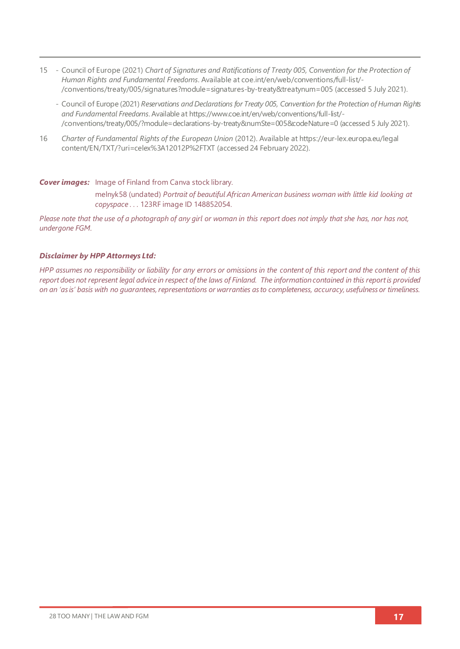- 15 Council of Europe (2021) *Chart of Signatures and Ratifications of Treaty 005, Convention for the Protection of Human Rights and Fundamental Freedoms*. Available a[t coe.int/en/web/conventions/full-list/-](coe.int/en/web/conventions/full-list/-/conventions/treaty/005/signatures?module=signatures-by-treaty&treatynum=005) [/conventions/treaty/005/signatures?module=signatures-by-treaty&treatynum=005](coe.int/en/web/conventions/full-list/-/conventions/treaty/005/signatures?module=signatures-by-treaty&treatynum=005) (accessed 5 July 2021).
	- Council of Europe (2021) *Reservations and Declarations for Treaty 005, Convention for the Protection of Human Rights and Fundamental Freedoms*. Available a[t https://www.coe.int/en/web/conventions/full-list/-](https://www.coe.int/en/web/conventions/full-list/-/conventions/treaty/005/?module=declarations-by-treaty&numSte=005&codeNature=0) [/conventions/treaty/005/?module=declarations-by-treaty&numSte=005&codeNature=0](https://www.coe.int/en/web/conventions/full-list/-/conventions/treaty/005/?module=declarations-by-treaty&numSte=005&codeNature=0) (accessed 5 July 2021).
- 16 *Charter of Fundamental Rights of the European Union* (2012). Available a[t https://eur-lex.europa.eu/legal](https://eur-lex.europa.eu/legal) content/EN/TXT/?uri=celex%3A12012P%2FTXT (accessed 24 February 2022).

#### *Cover images:* Image of Finland from Canva stock library.

melnyk58 (undated) *Portrait of beautiful African American business woman with little kid looking at copyspace . . .* 123RF image ID 148852054.

*Please note that the use of a photograph of any girl or woman in this report does not imply that she has, nor has not, undergone FGM.*

#### *Disclaimer by HPP Attorneys Ltd:*

*HPP assumes no responsibility or liability for any errors or omissions in the content of this report and the content of this report does not represent legal advice in respect of the laws of Finland. The information contained in this report is provided on an 'as is' basis with no guarantees, representations or warranties as to completeness, accuracy, usefulness or timeliness.*